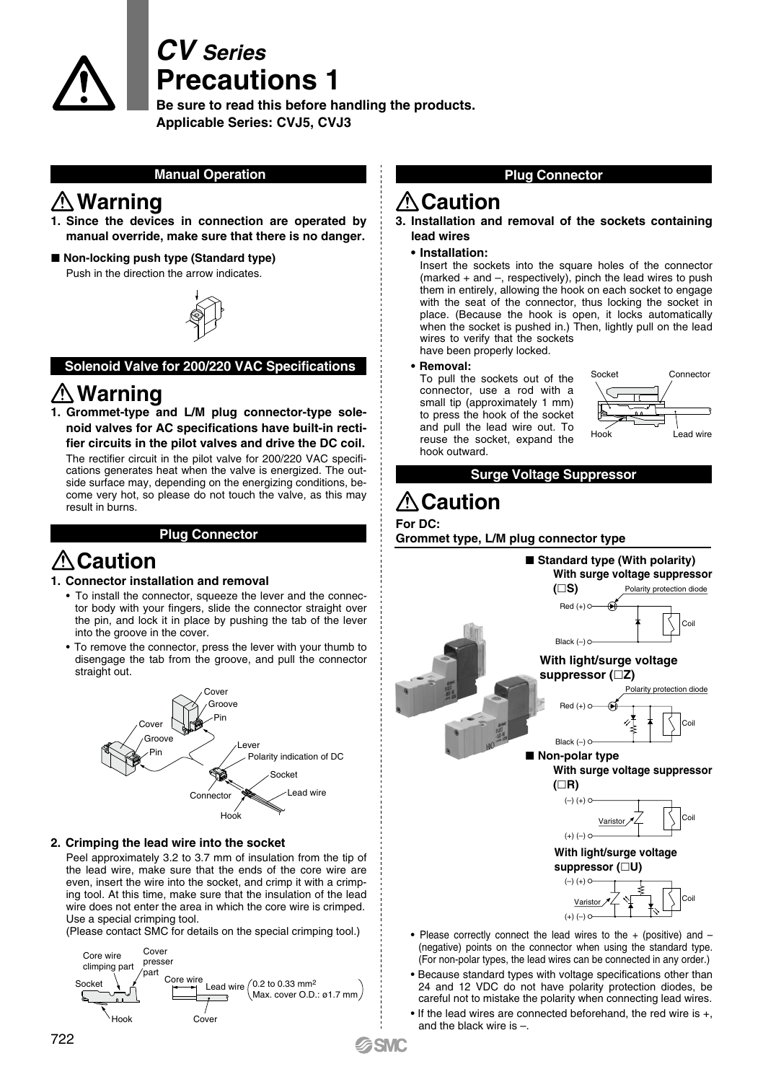

# *CV Series* **Precautions 1**

**Be sure to read this before handling the products. Applicable Series: CVJ5, CVJ3**

### **Manual Operation**

### **Warning**

- **1. Since the devices in connection are operated by manual override, make sure that there is no danger.**
- Non-locking push type (Standard type) Push in the direction the arrow indicates.



#### **Solenoid Valve for 200/220 VAC Specifications**

## **Warning**

**1. Grommet-type and L/M plug connector-type solenoid valves for AC specifications have built-in rectifier circuits in the pilot valves and drive the DC coil.**

The rectifier circuit in the pilot valve for 200/220 VAC specifications generates heat when the valve is energized. The outside surface may, depending on the energizing conditions, become very hot, so please do not touch the valve, as this may result in burns.

#### **Plug Connector**

## **Caution**

#### **1. Connector installation and removal**

- To install the connector, squeeze the lever and the connector body with your fingers, slide the connector straight over the pin, and lock it in place by pushing the tab of the lever into the groove in the cover.
- To remove the connector, press the lever with your thumb to disengage the tab from the groove, and pull the connector straight out.



#### **2. Crimping the lead wire into the socket**

Peel approximately 3.2 to 3.7 mm of insulation from the tip of the lead wire, make sure that the ends of the core wire are even, insert the wire into the socket, and crimp it with a crimping tool. At this time, make sure that the insulation of the lead wire does not enter the area in which the core wire is crimped. Use a special crimping tool.

(Please contact SMC for details on the special crimping tool.)



### **Plug Connector**

### **Caution**

**3. Installation and removal of the sockets containing lead wires**

#### **• Installation:**

Insert the sockets into the square holes of the connector (marked + and –, respectively), pinch the lead wires to push them in entirely, allowing the hook on each socket to engage with the seat of the connector, thus locking the socket in place. (Because the hook is open, it locks automatically when the socket is pushed in.) Then, lightly pull on the lead wires to verify that the sockets have been properly locked.

#### **• Removal:**

To pull the sockets out of the connector, use a rod with a small tip (approximately 1 mm) to press the hook of the socket and pull the lead wire out. To reuse the socket, expand the hook outward.



**Surge Voltage Suppressor**

# **Caution**

#### **For DC:**

**SMC** 

**Grommet type, L/M plug connector type**



- (negative) points on the connector when using the standard type. (For non-polar types, the lead wires can be connected in any order.)
- Because standard types with voltage specifications other than 24 and 12 VDC do not have polarity protection diodes, be careful not to mistake the polarity when connecting lead wires.
- If the lead wires are connected beforehand, the red wire is +, and the black wire  $is -$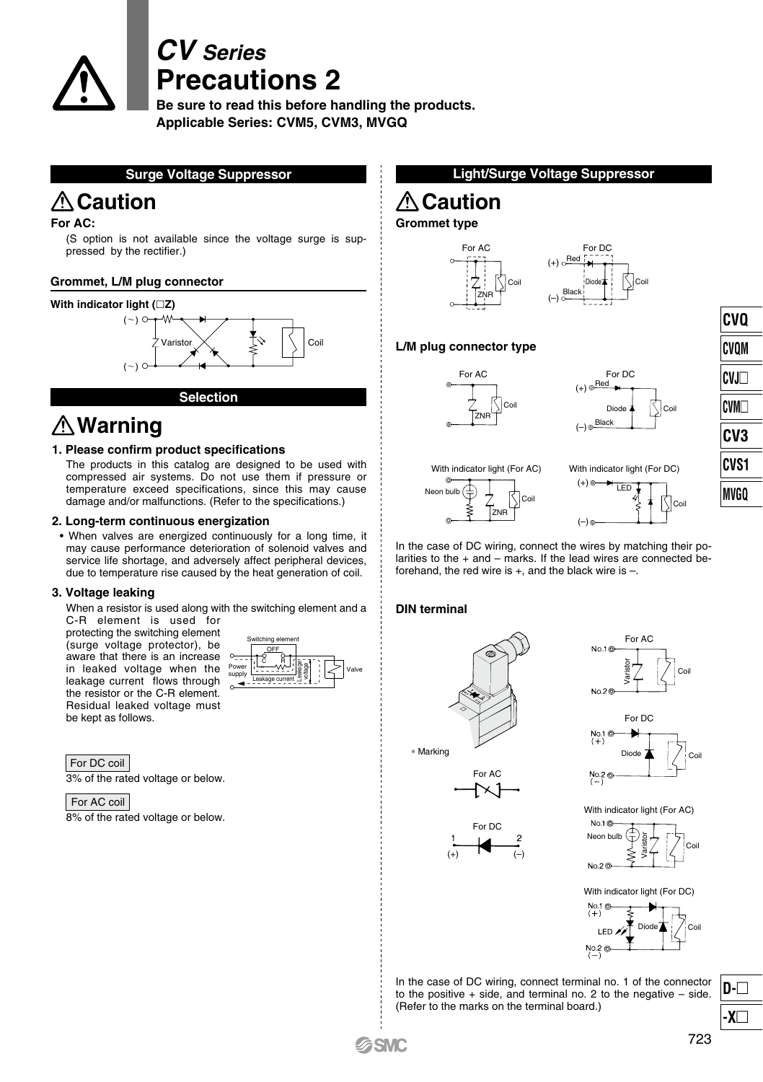

# *CV Series* **Precautions 2**

**Be sure to read this before handling the products. Applicable Series: CVM5, CVM3, MVGQ**

**Surge Voltage Suppressor**

### **△Caution Caution Caution**

#### **For AC:**

(S option is not available since the voltage surge is suppressed by the rectifier.)

#### **Grommet, L/M plug connector**



# **Warning**

#### **1. Please confirm product specifications**

The products in this catalog are designed to be used with compressed air systems. Do not use them if pressure or temperature exceed specifications, since this may cause damage and/or malfunctions. (Refer to the specifications.)

#### **2. Long-term continuous energization**

• When valves are energized continuously for a long time, it may cause performance deterioration of solenoid valves and service life shortage, and adversely affect peripheral devices. due to temperature rise caused by the heat generation of coil.

#### **3. Voltage leaking**

When a resistor is used along with the switching element and a

C-R element is used for protecting the switching element (surge voltage protector), be aware that there is an increase in leaked voltage when the leakage current flows through the resistor or the C-R element. Residual leaked voltage must be kept as follows.



3% of the rated voltage or below. For DC coil

For AC coil

8% of the rated voltage or below.

### **Light/Surge Voltage Suppressor**

#### **Grommet type**





#### **L/M plug connector type**





**CVQ CVQM CVJ CVM CV3 CVS1 MVGQ**





In the case of DC wiring, connect the wires by matching their polarities to the  $+$  and  $-$  marks. If the lead wires are connected beforehand, the red wire is  $+$ , and the black wire is  $-$ .

#### **DIN terminal**



For AC

For DC

 $(+)$  (–)



For AC

 $N_0$  1 $\otimes$ 



With indicator light (For AC)



With indicator light (For DC)



In the case of DC wiring, connect terminal no. 1 of the connector to the positive  $+$  side, and terminal no. 2 to the negative  $-$  side. (Refer to the marks on the terminal board.)

**D- -X**